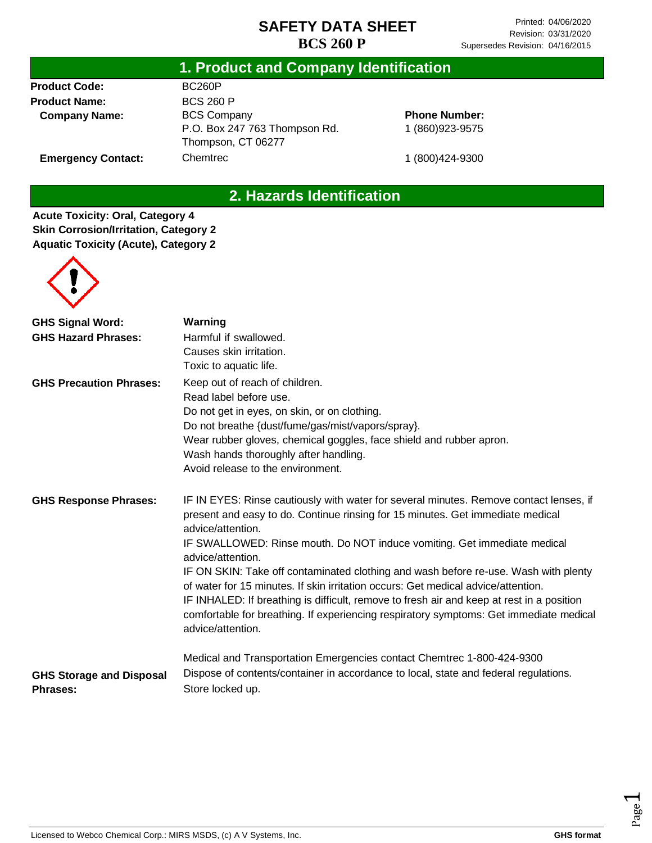#### **1. Product and Company Identification**

**Product Code: Product Name: Company Name:**

**Emergency Contact:**

BC260P BCS 260 P BCS Company P.O. Box 247 763 Thompson Rd. Thompson, CT 06277 Chemtrec

**Phone Number:** 1 (860)923-9575

1 (800)424-9300

### **2. Hazards Identification**

**Acute Toxicity: Oral, Category 4 Skin Corrosion/Irritation, Category 2 Aquatic Toxicity (Acute), Category 2**



| <b>GHS Signal Word:</b>                            | Warning                                                                                                                                                                                                                                                                                                                                                                              |
|----------------------------------------------------|--------------------------------------------------------------------------------------------------------------------------------------------------------------------------------------------------------------------------------------------------------------------------------------------------------------------------------------------------------------------------------------|
| <b>GHS Hazard Phrases:</b>                         | Harmful if swallowed.                                                                                                                                                                                                                                                                                                                                                                |
|                                                    | Causes skin irritation.                                                                                                                                                                                                                                                                                                                                                              |
|                                                    | Toxic to aquatic life.                                                                                                                                                                                                                                                                                                                                                               |
| <b>GHS Precaution Phrases:</b>                     | Keep out of reach of children.                                                                                                                                                                                                                                                                                                                                                       |
|                                                    | Read label before use.                                                                                                                                                                                                                                                                                                                                                               |
|                                                    | Do not get in eyes, on skin, or on clothing.                                                                                                                                                                                                                                                                                                                                         |
|                                                    | Do not breathe {dust/fume/gas/mist/vapors/spray}.                                                                                                                                                                                                                                                                                                                                    |
|                                                    | Wear rubber gloves, chemical goggles, face shield and rubber apron.                                                                                                                                                                                                                                                                                                                  |
|                                                    | Wash hands thoroughly after handling.                                                                                                                                                                                                                                                                                                                                                |
|                                                    | Avoid release to the environment.                                                                                                                                                                                                                                                                                                                                                    |
| <b>GHS Response Phrases:</b>                       | IF IN EYES: Rinse cautiously with water for several minutes. Remove contact lenses, if<br>present and easy to do. Continue rinsing for 15 minutes. Get immediate medical<br>advice/attention.                                                                                                                                                                                        |
|                                                    | IF SWALLOWED: Rinse mouth. Do NOT induce vomiting. Get immediate medical<br>advice/attention.                                                                                                                                                                                                                                                                                        |
|                                                    | IF ON SKIN: Take off contaminated clothing and wash before re-use. Wash with plenty<br>of water for 15 minutes. If skin irritation occurs: Get medical advice/attention.<br>IF INHALED: If breathing is difficult, remove to fresh air and keep at rest in a position<br>comfortable for breathing. If experiencing respiratory symptoms: Get immediate medical<br>advice/attention. |
|                                                    | Medical and Transportation Emergencies contact Chemtrec 1-800-424-9300                                                                                                                                                                                                                                                                                                               |
| <b>GHS Storage and Disposal</b><br><b>Phrases:</b> | Dispose of contents/container in accordance to local, state and federal regulations.<br>Store locked up.                                                                                                                                                                                                                                                                             |

Page  $\overline{\phantom{0}}$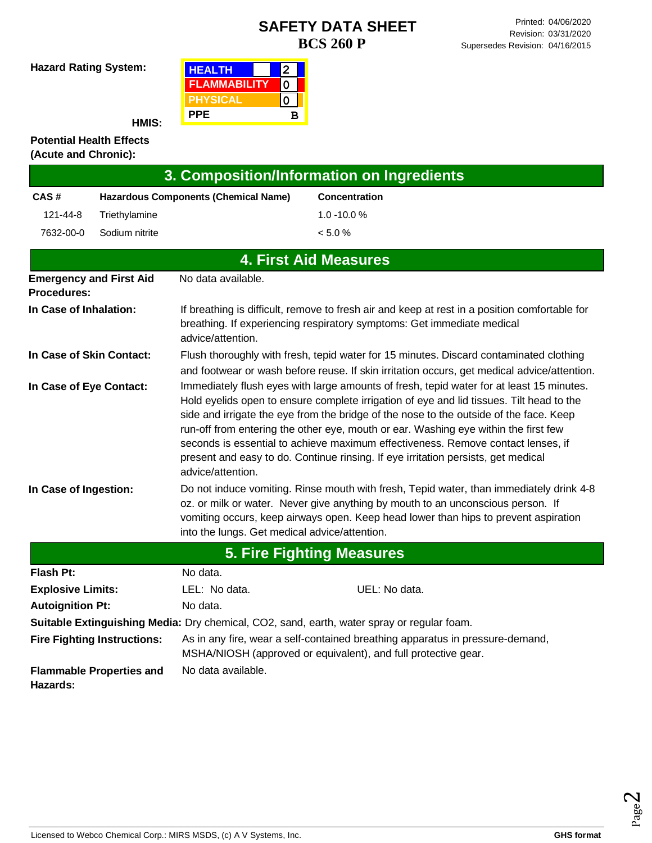**Hazard Rating System:**

| <b>HEALTH</b>       |   |
|---------------------|---|
| <b>FLAMMABILITY</b> |   |
| <b>PHYSICAL</b>     |   |
| <b>PPE</b>          | R |

**HMIS:**

#### **Potential Health Effects (Acute and Chronic):**

|                                                                                                                                                                                                                        |                                                                                                                                                                                                                                                                                                                                             |                                                                                                                                                 | 3. Composition/Information on Ingredients                                                                                                                                                                                                                                                                                                                                                                                                                                                                                                      |  |  |
|------------------------------------------------------------------------------------------------------------------------------------------------------------------------------------------------------------------------|---------------------------------------------------------------------------------------------------------------------------------------------------------------------------------------------------------------------------------------------------------------------------------------------------------------------------------------------|-------------------------------------------------------------------------------------------------------------------------------------------------|------------------------------------------------------------------------------------------------------------------------------------------------------------------------------------------------------------------------------------------------------------------------------------------------------------------------------------------------------------------------------------------------------------------------------------------------------------------------------------------------------------------------------------------------|--|--|
| CAS#                                                                                                                                                                                                                   |                                                                                                                                                                                                                                                                                                                                             | <b>Hazardous Components (Chemical Name)</b>                                                                                                     | <b>Concentration</b>                                                                                                                                                                                                                                                                                                                                                                                                                                                                                                                           |  |  |
| 121-44-8                                                                                                                                                                                                               | Triethylamine                                                                                                                                                                                                                                                                                                                               |                                                                                                                                                 | $1.0 - 10.0 %$                                                                                                                                                                                                                                                                                                                                                                                                                                                                                                                                 |  |  |
| 7632-00-0                                                                                                                                                                                                              | Sodium nitrite                                                                                                                                                                                                                                                                                                                              |                                                                                                                                                 | < 5.0 %                                                                                                                                                                                                                                                                                                                                                                                                                                                                                                                                        |  |  |
|                                                                                                                                                                                                                        |                                                                                                                                                                                                                                                                                                                                             |                                                                                                                                                 | <b>4. First Aid Measures</b>                                                                                                                                                                                                                                                                                                                                                                                                                                                                                                                   |  |  |
| <b>Procedures:</b>                                                                                                                                                                                                     | <b>Emergency and First Aid</b>                                                                                                                                                                                                                                                                                                              | No data available.                                                                                                                              |                                                                                                                                                                                                                                                                                                                                                                                                                                                                                                                                                |  |  |
| If breathing is difficult, remove to fresh air and keep at rest in a position comfortable for<br>In Case of Inhalation:<br>breathing. If experiencing respiratory symptoms: Get immediate medical<br>advice/attention. |                                                                                                                                                                                                                                                                                                                                             |                                                                                                                                                 |                                                                                                                                                                                                                                                                                                                                                                                                                                                                                                                                                |  |  |
| In Case of Skin Contact:                                                                                                                                                                                               |                                                                                                                                                                                                                                                                                                                                             |                                                                                                                                                 | Flush thoroughly with fresh, tepid water for 15 minutes. Discard contaminated clothing<br>and footwear or wash before reuse. If skin irritation occurs, get medical advice/attention.                                                                                                                                                                                                                                                                                                                                                          |  |  |
| In Case of Eye Contact:                                                                                                                                                                                                |                                                                                                                                                                                                                                                                                                                                             | advice/attention.                                                                                                                               | Immediately flush eyes with large amounts of fresh, tepid water for at least 15 minutes.<br>Hold eyelids open to ensure complete irrigation of eye and lid tissues. Tilt head to the<br>side and irrigate the eye from the bridge of the nose to the outside of the face. Keep<br>run-off from entering the other eye, mouth or ear. Washing eye within the first few<br>seconds is essential to achieve maximum effectiveness. Remove contact lenses, if<br>present and easy to do. Continue rinsing. If eye irritation persists, get medical |  |  |
|                                                                                                                                                                                                                        | Do not induce vomiting. Rinse mouth with fresh, Tepid water, than immediately drink 4-8<br>In Case of Ingestion:<br>oz. or milk or water. Never give anything by mouth to an unconscious person. If<br>vomiting occurs, keep airways open. Keep head lower than hips to prevent aspiration<br>into the lungs. Get medical advice/attention. |                                                                                                                                                 |                                                                                                                                                                                                                                                                                                                                                                                                                                                                                                                                                |  |  |
|                                                                                                                                                                                                                        |                                                                                                                                                                                                                                                                                                                                             |                                                                                                                                                 | <b>5. Fire Fighting Measures</b>                                                                                                                                                                                                                                                                                                                                                                                                                                                                                                               |  |  |
| <b>Flash Pt:</b>                                                                                                                                                                                                       |                                                                                                                                                                                                                                                                                                                                             | No data.                                                                                                                                        |                                                                                                                                                                                                                                                                                                                                                                                                                                                                                                                                                |  |  |
| <b>Explosive Limits:</b>                                                                                                                                                                                               |                                                                                                                                                                                                                                                                                                                                             | LEL: No data.                                                                                                                                   | UEL: No data.                                                                                                                                                                                                                                                                                                                                                                                                                                                                                                                                  |  |  |
| <b>Autoignition Pt:</b>                                                                                                                                                                                                |                                                                                                                                                                                                                                                                                                                                             | No data.                                                                                                                                        |                                                                                                                                                                                                                                                                                                                                                                                                                                                                                                                                                |  |  |
|                                                                                                                                                                                                                        |                                                                                                                                                                                                                                                                                                                                             |                                                                                                                                                 | Suitable Extinguishing Media: Dry chemical, CO2, sand, earth, water spray or regular foam.                                                                                                                                                                                                                                                                                                                                                                                                                                                     |  |  |
|                                                                                                                                                                                                                        | <b>Fire Fighting Instructions:</b>                                                                                                                                                                                                                                                                                                          | As in any fire, wear a self-contained breathing apparatus in pressure-demand,<br>MSHA/NIOSH (approved or equivalent), and full protective gear. |                                                                                                                                                                                                                                                                                                                                                                                                                                                                                                                                                |  |  |
| No data available.<br><b>Flammable Properties and</b><br><b>Hazards:</b>                                                                                                                                               |                                                                                                                                                                                                                                                                                                                                             |                                                                                                                                                 |                                                                                                                                                                                                                                                                                                                                                                                                                                                                                                                                                |  |  |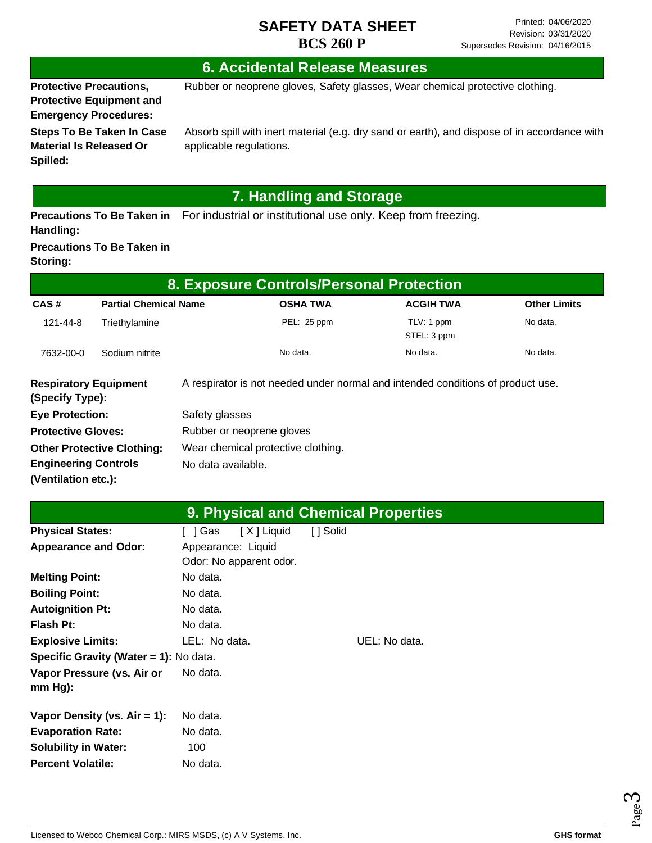### **6. Accidental Release Measures**

**Protective Precautions, Protective Equipment and Emergency Procedures:**

Rubber or neoprene gloves, Safety glasses, Wear chemical protective clothing.

**Steps To Be Taken In Case Material Is Released Or Spilled:**

Absorb spill with inert material (e.g. dry sand or earth), and dispose of in accordance with applicable regulations.

# **7. Handling and Storage**

Precautions To Be Taken in For industrial or institutional use only. Keep from freezing. **Handling:**

#### **Precautions To Be Taken in Storing:**

| 8. Exposure Controls/Personal Protection        |                              |                                    |                                                                                 |                           |                     |  |
|-------------------------------------------------|------------------------------|------------------------------------|---------------------------------------------------------------------------------|---------------------------|---------------------|--|
| CAS#                                            | <b>Partial Chemical Name</b> |                                    | <b>OSHA TWA</b>                                                                 | <b>ACGIH TWA</b>          | <b>Other Limits</b> |  |
| 121-44-8                                        | Triethylamine                |                                    | PEL: 25 ppm                                                                     | TLV: 1 ppm<br>STEL: 3 ppm | No data.            |  |
| 7632-00-0                                       | Sodium nitrite               |                                    | No data.                                                                        | No data.                  | No data.            |  |
| <b>Respiratory Equipment</b><br>(Specify Type): |                              |                                    | A respirator is not needed under normal and intended conditions of product use. |                           |                     |  |
| <b>Eye Protection:</b>                          |                              | Safety glasses                     |                                                                                 |                           |                     |  |
| <b>Protective Gloves:</b>                       |                              | Rubber or neoprene gloves          |                                                                                 |                           |                     |  |
| <b>Other Protective Clothing:</b>               |                              | Wear chemical protective clothing. |                                                                                 |                           |                     |  |
| <b>Engineering Controls</b>                     |                              | No data available.                 |                                                                                 |                           |                     |  |
| (Ventilation etc.):                             |                              |                                    |                                                                                 |                           |                     |  |

|                                         |                                               | <b>9. Physical and Chemical Properties</b> |
|-----------------------------------------|-----------------------------------------------|--------------------------------------------|
| <b>Physical States:</b>                 | [X ] Liquid<br>[]Gas                          | [ ] Solid                                  |
| <b>Appearance and Odor:</b>             | Appearance: Liquid<br>Odor: No apparent odor. |                                            |
| <b>Melting Point:</b>                   | No data.                                      |                                            |
| <b>Boiling Point:</b>                   | No data.                                      |                                            |
| <b>Autoignition Pt:</b>                 | No data.                                      |                                            |
| Flash Pt:                               | No data.                                      |                                            |
| <b>Explosive Limits:</b>                | LEL: No data.                                 | UEL: No data.                              |
| Specific Gravity (Water = 1): No data.  |                                               |                                            |
| Vapor Pressure (vs. Air or<br>$mm Hg$ : | No data.                                      |                                            |
| Vapor Density (vs. $Air = 1$ ):         | No data.                                      |                                            |
| <b>Evaporation Rate:</b>                | No data.                                      |                                            |
| <b>Solubility in Water:</b>             | 100                                           |                                            |
| <b>Percent Volatile:</b>                | No data.                                      |                                            |

Page ო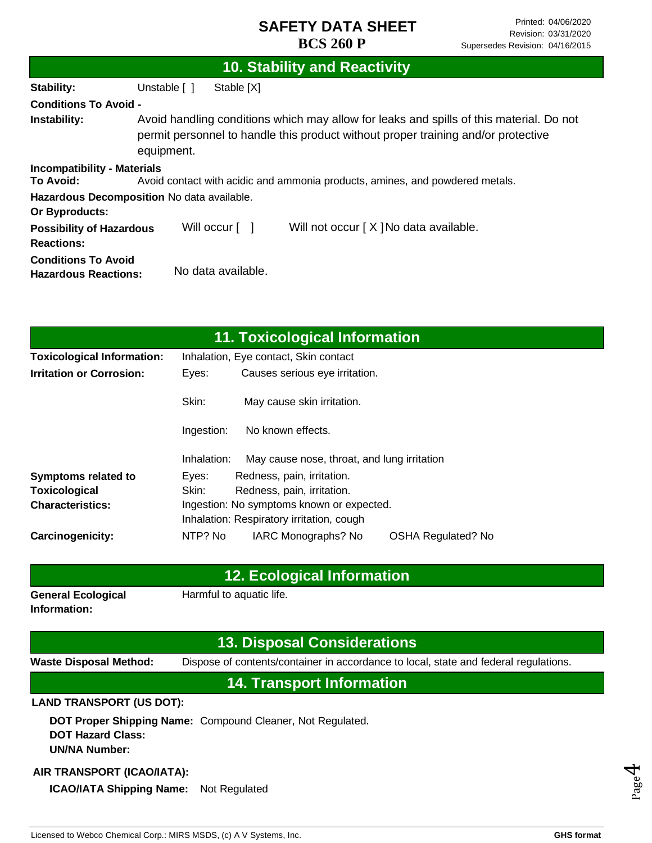|                                                           | 10. Stability and Reactivity                                                                                                                                                               |  |
|-----------------------------------------------------------|--------------------------------------------------------------------------------------------------------------------------------------------------------------------------------------------|--|
| Stability:                                                | Unstable [ ]<br>Stable [X]                                                                                                                                                                 |  |
| <b>Conditions To Avoid -</b>                              |                                                                                                                                                                                            |  |
| Instability:                                              | Avoid handling conditions which may allow for leaks and spills of this material. Do not<br>permit personnel to handle this product without proper training and/or protective<br>equipment. |  |
| <b>Incompatibility - Materials</b><br>To Avoid:           | Avoid contact with acidic and ammonia products, amines, and powdered metals.                                                                                                               |  |
| Or Byproducts:                                            | Hazardous Decomposition No data available.                                                                                                                                                 |  |
| <b>Possibility of Hazardous</b><br><b>Reactions:</b>      | Will occur [ ]<br>Will not occur [X] No data available.                                                                                                                                    |  |
| <b>Conditions To Avoid</b><br><b>Hazardous Reactions:</b> | No data available.                                                                                                                                                                         |  |

|                                   |                                         | <b>11. Toxicological Information</b>        |                           |  |
|-----------------------------------|-----------------------------------------|---------------------------------------------|---------------------------|--|
| <b>Toxicological Information:</b> | Inhalation, Eye contact, Skin contact   |                                             |                           |  |
| <b>Irritation or Corrosion:</b>   | Causes serious eye irritation.<br>Eyes: |                                             |                           |  |
|                                   | Skin:                                   | May cause skin irritation.                  |                           |  |
|                                   | Ingestion:                              | No known effects.                           |                           |  |
|                                   | Inhalation:                             | May cause nose, throat, and lung irritation |                           |  |
| <b>Symptoms related to</b>        | Eyes:                                   | Redness, pain, irritation.                  |                           |  |
| Toxicological                     | Skin:                                   | Redness, pain, irritation.                  |                           |  |
| <b>Characteristics:</b>           |                                         | Ingestion: No symptoms known or expected.   |                           |  |
|                                   |                                         | Inhalation: Respiratory irritation, cough   |                           |  |
| Carcinogenicity:                  | NTP? No                                 | IARC Monographs? No                         | <b>OSHA Regulated? No</b> |  |

### **12. Ecological Information**

**General Ecological Information:**

Harmful to aquatic life.

## **13. Disposal Considerations**

**Waste Disposal Method:** Dispose of contents/container in accordance to local, state and federal regulations.

### **14. Transport Information**

#### **LAND TRANSPORT (US DOT):**

**DOT Proper Shipping Name:**  Compound Cleaner, Not Regulated. **DOT Hazard Class: UN/NA Number:**

#### **AIR TRANSPORT (ICAO/IATA):**

**ICAO/IATA Shipping Name:** Not Regulated